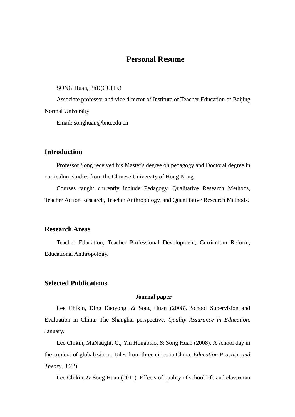# **Personal Resume**

#### SONG Huan, PhD(CUHK)

Associate professor and vice director of Institute of Teacher Education of Beijing Normal University

Email: songhuan@bnu.edu.cn

# **Introduction**

Professor Song received his Master's degree on pedagogy and Doctoral degree in curriculum studies from the Chinese University of Hong Kong.

Courses taught currently include Pedagogy, Qualitative Research Methods, Teacher Action Research, Teacher Anthropology, and Quantitative Research Methods.

# **Research Areas**

Teacher Education, Teacher Professional Development, Curriculum Reform, Educational Anthropology.

# **Selected Publications**

### **Journal paper**

Lee Chikin, Ding Daoyong, & Song Huan (2008). School Supervision and Evaluation in China: The Shanghai perspective. *Quality Assurance in Education*, January.

Lee Chikin, MaNaught, C., Yin Hongbiao, & Song Huan (2008). A school day in the context of globalization: Tales from three cities in China. *Education Practice and Theory*, 30(2).

Lee Chikin, & Song Huan (2011). Effects of quality of school life and classroom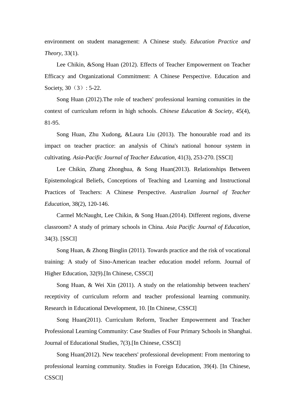environment on student management: A Chinese study. *Education Practice and Theory*, 33(1).

Lee Chikin, &Song Huan (2012). Effects of Teacher Empowerment on Teacher Efficacy and Organizational Commitment: A Chinese Perspective. Education and Society, 30 (3): 5-22.

Song Huan (2012).The role of teachers' professional learning comunities in the context of curriculum reform in high schools. *Chinese Education & Society*, 45(4), 81-95.

Song Huan, Zhu Xudong, &Laura Liu (2013). The honourable road and its impact on teacher practice: an analysis of China's national honour system in cultivating. *Asia-Pacific Journal of Teacher Education*, 41(3), 253-270. [SSCI]

Lee Chikin, Zhang Zhonghua, & Song Huan(2013). Relationships Between Epistemological Beliefs, Conceptions of Teaching and Learning and Instructional Practices of Teachers: A Chinese Perspective. *Australian Journal of Teacher Education*, 38(2), 120-146.

Carmel McNaught, Lee Chikin, & Song Huan.(2014). Different regions, diverse classroom? A study of primary schools in China. *Asia Pacific Journal of Education*, 34(3). [SSCI]

Song Huan, & Zhong Binglin (2011). Towards practice and the risk of vocational training: A study of Sino-American teacher education model reform. Journal of Higher Education, 32(9).[In Chinese, CSSCI]

Song Huan, & Wei Xin (2011). A study on the relationship between teachers' receptivity of curriculum reform and teacher professional learning community. Research in Educational Development, 10. [In Chinese, CSSCI]

Song Huan(2011). Curriculum Reform, Teacher Empowerment and Teacher Professional Learning Community: Case Studies of Four Primary Schools in Shanghai. Journal of Educational Studies, 7(3).[In Chinese, CSSCI]

Song Huan(2012). New teacehers' professional development: From mentoring to professional learning community. Studies in Foreign Education, 39(4). [In Chinese, **CSSCII**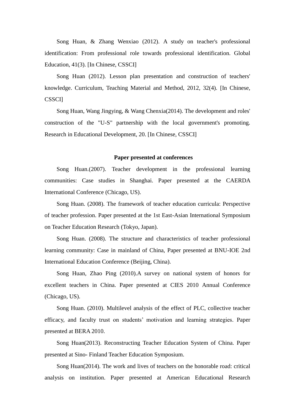Song Huan, & Zhang Wenxiao (2012). A study on teacher's professional identification: From professional role towards professional identification. Global Education, 41(3). [In Chinese, CSSCI]

Song Huan (2012). Lesson plan presentation and construction of teachers' knowledge. Curriculum, Teaching Material and Method, 2012, 32(4). [In Chinese, CSSCI]

Song Huan, Wang Jingying, & Wang Chenxia(2014). The development and roles' construction of the "U-S" partnership with the local government's promoting. Research in Educational Development, 20. [In Chinese, CSSCI]

#### **Paper presented at conferences**

Song Huan.(2007). Teacher development in the professional learning communities: Case studies in Shanghai. Paper presented at the CAERDA International Conference (Chicago, US).

Song Huan. (2008). The framework of teacher education curricula: Perspective of teacher profession. Paper presented at the 1st East-Asian International Symposium on Teacher Education Research (Tokyo, Japan).

Song Huan. (2008). The structure and characteristics of teacher professional learning community: Case in mainland of China, Paper presented at BNU-IOE 2nd International Education Conference (Beijing, China).

Song Huan, Zhao Ping (2010).A survey on national system of honors for excellent teachers in China. Paper presented at CIES 2010 Annual Conference (Chicago, US).

Song Huan. (2010). Multilevel analysis of the effect of PLC, collective teacher efficacy, and faculty trust on students' motivation and learning strategies. Paper presented at BERA 2010.

Song Huan(2013). Reconstructing Teacher Education System of China. Paper presented at Sino- Finland Teacher Education Symposium.

Song Huan(2014). The work and lives of teachers on the honorable road: critical analysis on institution. Paper presented at American Educational Research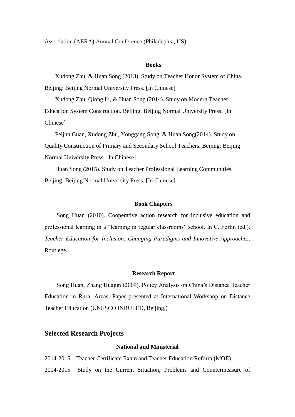Association (AERA) Annual Conference (Philadephia, US).

#### **Books**

Xudong Zhu, & Huan Song (2013). Study on Teacher Honor System of China. Beijing: Beijing Normal University Press. [In Chinese]

Xudong Zhu, Qiong Li, & Huan Song (2014). Study on Modern Teacher Education System Construction. Beijing: Beijing Normal University Press. [In Chinese]

Peijun Guan, Xudong Zhu, Yonggang Song, & Huan Song(2014). Study on Quality Construction of Primary and Secondary School Teachers. Beijing: Beijing Normal University Press. [In Chinese]

Huan Song (2015). Study on Teacher Professional Learning Communities. Beijing: Beijing Normal University Press. [In Chinese]

#### **Book Chapters**

Song Huan (2010). Cooperative action research for inclusive education and professional learning in a "learning in regular classrooms" school. In C. Forlin (ed.). *Teacher Education for Inclusion: Changing Paradigms and Innovative Approaches*. Routlege.

#### **Research Report**

Song Huan, Zhang Huajun (2009). Policy Analysis on China's Distance Teacher Education in Rural Areas. Paper presented at International Workshop on Distance Teacher Education (UNESCO INRULED, Beijing,)

## **Selected Research Projects**

### **National and Ministerial**

2014-2015 Teacher Certificate Exam and Teacher Education Reform (MOE) 2014-2015 Study on the Current Situation, Problems and Countermeasure of